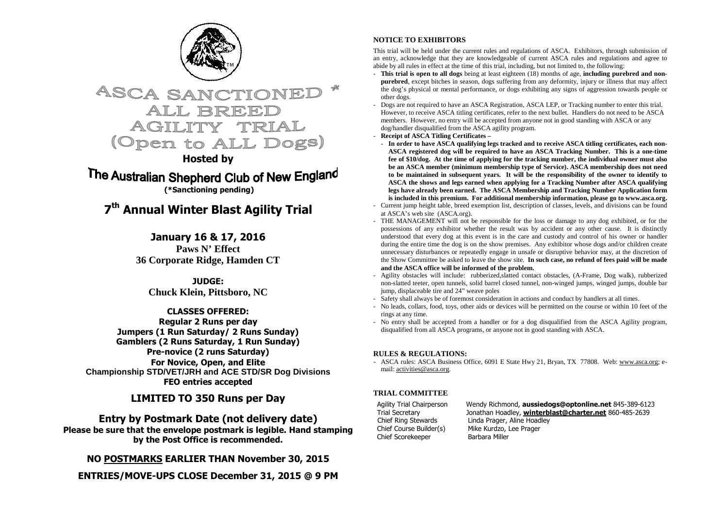



**Hosted by** 

The Australian Shepherd Club of New England  **(\*Sanctioning pending)** 

## **7th Annual Winter Blast Agility Trial**

**January 16 & 17, 2016** Paws N' Effect **36 Corporate Ridge, Hamden CT**

> **JUDGE: Chuck Klein, Pittsboro, NC**

#### **CLASSES OFFERED:**

 **Regular 2 Runs per day Jumpers (1 Run Saturday/ 2 Runs Sunday) Gamblers (2 Runs Saturday, 1 Run Sunday) Pre-novice (2 runs Saturday) For Novice, Open, and Elite Championship STD/VET/JRH and ACE STD/SR Dog Divisions FEO entries accepted** 

**LIMITED TO 350 Runs per Day** 

**Entry by Postmark Date (not delivery date) Please be sure that the envelope postmark is legible. Hand stamping by the Post Office is recommended.** 

**NO POSTMARKS EARLIER THAN November 30, 2015** 

**ENTRIES/MOVE-UPS CLOSE December 31, 2015 @ 9 PM** 

#### **NOTICE TO EXHIBITORS**

This trial will be held under the current rules and regulations of ASCA. Exhibitors, through submission of an entry, acknowledge that they are knowledgeable of current ASCA rules and regulations and agree to abide by all rules in effect at the time of this trial, including, but not limited to, the following:

- **This trial is open to all dogs** being at least eighteen (18) months of age, **including purebred and nonpurebred**, except bitches in season, dogs suffering from any deformity, injury or illness that may affect the dog's physical or mental performance, or dogs exhibiting any signs of aggression towards people orother dogs.
- Dogs are not required to have an ASCA Registration, ASCA LEP, or Tracking number to enter this trial. However, to receive ASCA titling certificates, refer to the next bullet. Handlers do not need to be ASCA members. However, no entry will be accepted from anyone not in good standing with ASCA or any dog/handler disqualified from the ASCA agility program.
- **Receipt of ASCA Titling Certificates**
- **In order to have ASCA qualifying legs tracked and to receive ASCA titling certificates, each non-ASCA registered dog will be required to have an ASCA Tracking Number. This is a one-time fee of \$10/dog. At the time of applying for the tracking number, the individual owner must also be an ASCA member (minimum membership type of Service). ASCA membership does not need to be maintained in subsequent years. It will be the responsibility of the owner to identify to ASCA the shows and legs earned when applying for a Tracking Number after ASCA qualifying legs have already been earned. The ASCA Membership and Tracking Number Application form is included in this premium. For additional membership information, please go to www.asca.org.**
- Current jump height table, breed exemption list, description of classes, levels, and divisions can be found at ASCA's web site (ASCA.org).
- THE MANAGEMENT will not be responsible for the loss or damage to any dog exhibited, or for the possessions of any exhibitor whether the result was by accident or any other cause. It is distinctly understood that every dog at this event is in the care and custody and control of his owner or handler during the entire time the dog is on the show premises. Any exhibitor whose dogs and/or children create unnecessary disturbances or repeatedly engage in unsafe or disruptive behavior may, at the discretion of the Show Committee be asked to leave the show site. **In such case, no refund of fees paid will be made and the ASCA office will be informed of the problem.**
- Agility obstacles will include: rubberized,slatted contact obstacles, (A-Frame, Dog walk), rubberized non-slatted teeter, open tunnels, solid barrel closed tunnel, non-winged jumps, winged jumps, double bar jump, displaceable tire and 24" weave poles
- Safety shall always be of foremost consideration in actions and conduct by handlers at all times.
- No leads, collars, food, toys, other aids or devices will be permitted on the course or within 10 feet of the rings at any time.
- No entry shall be accepted from a handler or for a dog disqualified from the ASCA Agility program, disqualified from all ASCA programs, or anyone not in good standing with ASCA.

#### **RULES & REGULATIONS:**

- ASCA rules: ASCA Business Office, 6091 E State Hwy 21, Bryan, TX 77808. Web: www.asca.org; email: activities@asca.org.

#### **TRIAL COMMITTEE**

Chief Course Builder(s) Mike Kurdzo, Lee Prager<br>Chief Scorekeener Barbara Miller Chief Scorekeeper

Agility Trial Chairperson Wendy Richmond, **aussiedogs@optonline.net** 845-389-6123 Trial Secretary Jonathan Hoadley, **winterblast@charter.net** 860-485-2639 Chief Ring Stewards Linda Prager, Aline Hoadley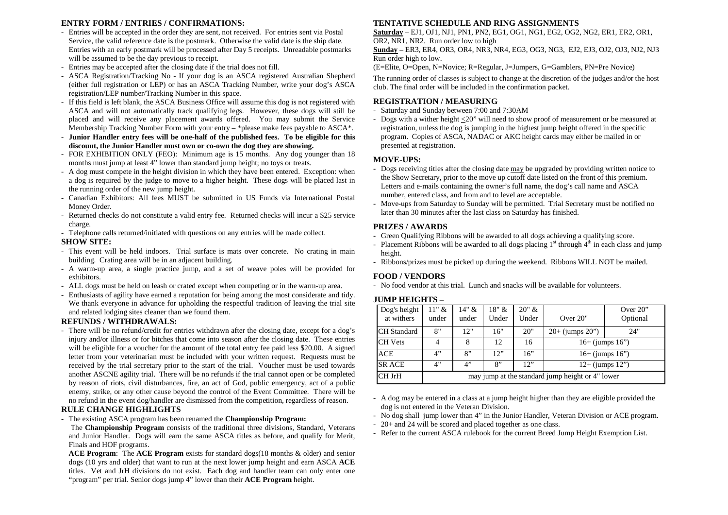#### **ENTRY FORM / ENTRIES / CONFIRMATIONS:**

- Entries will be accepted in the order they are sent, not received. For entries sent via Postal Service, the valid reference date is the postmark. Otherwise the valid date is the ship date. Entries with an early postmark will be processed after Day 5 receipts. Unreadable postmarks will be assumed to be the day previous to receipt.
- Entries may be accepted after the closing date if the trial does not fill.
- ASCA Registration/Tracking No If your dog is an ASCA registered Australian Shepherd (either full registration or LEP) or has an ASCA Tracking Number, write your dog's ASCA registration/LEP number/Tracking Number in this space.
- If this field is left blank, the ASCA Business Office will assume this dog is not registered with ASCA and will not automatically track qualifying legs. However, these dogs will still be placed and will receive any placement awards offered. You may submit the Service Membership Tracking Number Form with your entry – \*please make fees payable to ASCA\*.
- **Junior Handler entry fees will be one-half of the published fees. To be eligible for this discount, the Junior Handler must own or co-own the dog they are showing.**
- FOR EXHIBITION ONLY (FEO): Minimum age is 15 months. Any dog younger than 18 months must jump at least 4" lower than standard jump height; no toys or treats.
- A dog must compete in the height division in which they have been entered. Exception: when a dog is required by the judge to move to a higher height. These dogs will be placed last in the running order of the new jump height.
- Canadian Exhibitors: All fees MUST be submitted in US Funds via International Postal Money Order.
- Returned checks do not constitute a valid entry fee. Returned checks will incur a \$25 service charge.
- Telephone calls returned/initiated with questions on any entries will be made collect.

#### **SHOW SITE:**

- This event will be held indoors. Trial surface is mats over concrete. No crating in main building. Crating area will be in an adjacent building.
- A warm-up area, a single practice jump, and a set of weave poles will be provided for exhibitors.
- ALL dogs must be held on leash or crated except when competing or in the warm-up area.
- Enthusiasts of agility have earned a reputation for being among the most considerate and tidy. We thank everyone in advance for upholding the respectful tradition of leaving the trial site and related lodging sites cleaner than we found them.

#### **REFUNDS / WITHDRAWALS:**

 - There will be no refund/credit for entries withdrawn after the closing date, except for a dog's injury and/or illness or for bitches that come into season after the closing date. These entries will be eligible for a voucher for the amount of the total entry fee paid less \$20.00. A signed letter from your veterinarian must be included with your written request. Requests must be received by the trial secretary prior to the start of the trial. Voucher must be used towards another ASCNE agility trial. There will be no refunds if the trial cannot open or be completed by reason of riots, civil disturbances, fire, an act of God, public emergency, act of a public enemy, strike, or any other cause beyond the control of the Event Committee. There will be no refund in the event dog/handler are dismissed from the competition, regardless of reason.

#### **RULE CHANGE HIGHLIGHTS**

- The existing ASCA program has been renamed the **Championship Program:**

The **Championship Program** consists of the traditional three divisions, Standard, Veterans and Junior Handler. Dogs will earn the same ASCA titles as before, and qualify for Merit, Finals and HOF programs.

 **ACE Program**: The **ACE Program** exists for standard dogs(18 months & older) and senior dogs (10 yrs and older) that want to run at the next lower jump height and earn ASCA **ACE** titles. Vet and JrH divisions do not exist. Each dog and handler team can only enter one "program" per trial. Senior dogs jump 4" lower than their **ACE Program** height.

#### **TENTATIVE SCHEDULE AND RING ASSIGNMENTS**

 **Saturday** – EJ1, OJ1, NJ1, PN1, PN2, EG1, OG1, NG1, EG2, OG2, NG2, ER1, ER2, OR1, OR2, NR1, NR2. Run order low to high

 **Sunday** – ER3, ER4, OR3, OR4, NR3, NR4, EG3, OG3, NG3, EJ2, EJ3, OJ2, OJ3, NJ2, NJ3 Run order high to low.

(E=Elite, O=Open, N=Novice; R=Regular, J=Jumpers, G=Gamblers, PN=Pre Novice)

The running order of classes is subject to change at the discretion of the judges and/or the host club. The final order will be included in the confirmation packet.

#### **REGISTRATION / MEASURING**

- Saturday and Sunday between 7:00 and 7:30AM
- Dogs with a wither height  $\leq 20$ " will need to show proof of measurement or be measured at registration, unless the dog is jumping in the highest jump height offered in the specific program. Copies of ASCA, NADAC or AKC height cards may either be mailed in or presented at registration.

#### **MOVE-UPS:**

- Dogs receiving titles after the closing date may be upgraded by providing written notice to the Show Secretary, prior to the move up cutoff date listed on the front of this premium. Letters and e-mails containing the owner's full name, the dog's call name and ASCA number, entered class, and from and to level are acceptable.
- Move-ups from Saturday to Sunday will be permitted. Trial Secretary must be notified no later than 30 minutes after the last class on Saturday has finished.

#### **PRIZES / AWARDS**

- Green Qualifying Ribbons will be awarded to all dogs achieving a qualifying score.
- Placement Ribbons will be awarded to all dogs placing  $1<sup>st</sup>$  through  $4<sup>th</sup>$  in each class and jump height.
- Ribbons/prizes must be picked up during the weekend. Ribbons WILL NOT be mailed.

#### **FOOD / VENDORS**

- No food vendor at this trial. Lunch and snacks will be available for volunteers.

#### **JUMP HEIGHTS –**

| Dog's height<br>at withers | $11"$ &<br>under                                 | $14" \&$<br>under | 18" &<br>Under | 20" &<br>Under | Over $20$ "          | Over $20$ "<br>Optional |  |  |  |
|----------------------------|--------------------------------------------------|-------------------|----------------|----------------|----------------------|-------------------------|--|--|--|
| <b>CH</b> Standard         | 8"                                               | 12"               | 16"            | 20"            | $20+$ (jumps $20$ ") | 24"                     |  |  |  |
| <b>CH</b> Vets             |                                                  | 8                 | 12             | 16             | $16+$ (jumps $16"$ ) |                         |  |  |  |
| <b>ACE</b>                 | 4"                                               | 8"                | 12"            | 16"            | $16+$ (jumps $16"$ ) |                         |  |  |  |
| <b>SR ACE</b>              | 4"                                               | 4"                | 8"             | 12"            | $12+$ (jumps $12"$ ) |                         |  |  |  |
| <b>CH JrH</b>              | may jump at the standard jump height or 4" lower |                   |                |                |                      |                         |  |  |  |

- A dog may be entered in a class at a jump height higher than they are eligible provided the dog is not entered in the Veteran Division.

- No dog shall jump lower than 4" in the Junior Handler, Veteran Division or ACE program.
- 20+ and 24 will be scored and placed together as one class.
- Refer to the current ASCA rulebook for the current Breed Jump Height Exemption List.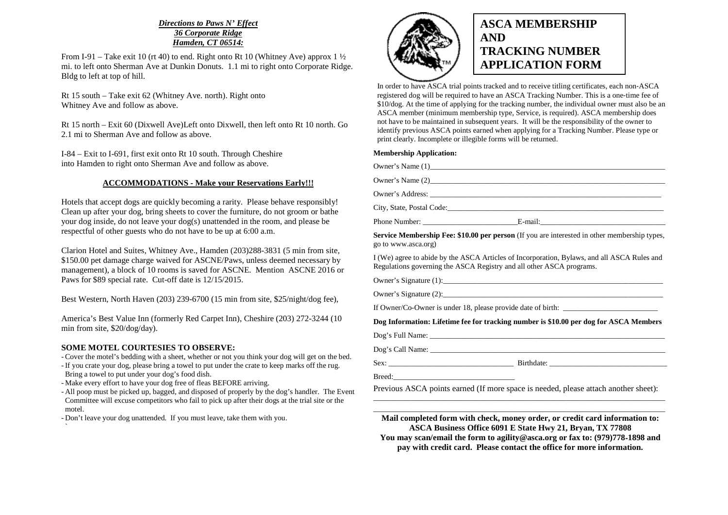#### *Directions to Paws N' Effect 36 Corporate Ridge Hamden, CT 06514:*

From I-91 – Take exit 10 (rt 40) to end. Right onto Rt 10 (Whitney Ave) approx 1  $\frac{1}{2}$  mi. to left onto Sherman Ave at Dunkin Donuts. 1.1 mi to right onto Corporate Ridge. Bldg to left at top of hill.

Rt 15 south – Take exit 62 (Whitney Ave. north). Right onto Whitney Ave and follow as above.

Rt 15 north – Exit 60 (Dixwell Ave)Left onto Dixwell, then left onto Rt 10 north. Go 2.1 mi to Sherman Ave and follow as above.

I-84 – Exit to I-691, first exit onto Rt 10 south. Through Cheshire into Hamden to right onto Sherman Ave and follow as above.

#### **ACCOMMODATIONS - Make your Reservations Early!!!**

Hotels that accept dogs are quickly becoming a rarity. Please behave responsibly! Clean up after your dog, bring sheets to cover the furniture, do not groom or bathe your dog inside, do not leave your dog(s) unattended in the room, and please be respectful of other guests who do not have to be up at 6:00 a.m.

Clarion Hotel and Suites, Whitney Ave., Hamden (203)288-3831 (5 min from site, \$150.00 pet damage charge waived for ASCNE/Paws, unless deemed necessary by management), a block of 10 rooms is saved for ASCNE. Mention ASCNE 2016 or Paws for \$89 special rate. Cut-off date is 12/15/2015.

Best Western, North Haven (203) 239-6700 (15 min from site, \$25/night/dog fee),

America's Best Value Inn (formerly Red Carpet Inn), Cheshire (203) 272-3244 (10 min from site, \$20/dog/day).

#### **SOME MOTEL COURTESIES TO OBSERVE:**

- Cover the motel's bedding with a sheet, whether or not you think your dog will get on the bed.

- If you crate your dog, please bring a towel to put under the crate to keep marks off the rug. Bring a towel to put under your dog's food dish.
- Make every effort to have your dog free of fleas BEFORE arriving.
- All poop must be picked up, bagged, and disposed of properly by the dog's handler. The Event Committee will excuse competitors who fail to pick up after their dogs at the trial site or the motel.

- Don't leave your dog unattended. If you must leave, take them with you.



## **ASCA MEMBERSHIP AND TRACKING NUMBER APPLICATION FORM**

In order to have ASCA trial points tracked and to receive titling certificates, each non‐ASCA registered dog will be required to have an ASCA Tracking Number. This is a one‐time fee of \$10/dog. At the time of applying for the tracking number, the individual owner must also be an ASCA member (minimum membership type, Service, is required). ASCA membership does not have to be maintained in subsequent years. It will be the responsibility of the owner to identify previous ASCA points earned when applying for a Tracking Number. Please type or print clearly. Incomplete or illegible forms will be returned.

#### **Membership Application:**

|                     | City, State, Postal Code: New York: 2008. The State of the State of the State of the State of the State of the State of the State of the State of the State of the State of the State of the State of the State of the State o |
|---------------------|--------------------------------------------------------------------------------------------------------------------------------------------------------------------------------------------------------------------------------|
|                     |                                                                                                                                                                                                                                |
| go to www.asca.org) | Service Membership Fee: \$10.00 per person (If you are interested in other membership types,                                                                                                                                   |

I (We) agree to abide by the ASCA Articles of Incorporation, Bylaws, and all ASCA Rules and Regulations governing the ASCA Registry and all other ASCA programs.

Owner's Signature (1):\_\_\_\_\_\_\_\_\_\_\_\_\_\_\_\_\_\_\_\_\_\_\_\_\_\_\_\_\_\_\_\_\_\_\_\_\_\_\_\_\_\_\_\_\_\_\_\_\_\_\_\_\_\_\_\_\_\_

Owner's Signature (2):

If Owner/Co-Owner is under  $18$ , please provide date of birth:

#### **Dog Information: Lifetime fee for tracking number is \$10.00 per dog for ASCA Members**

Dog's Full Name:

Dog's Call Name: \_\_\_\_\_\_\_\_\_\_\_\_\_\_\_\_\_\_\_\_\_\_\_\_\_\_\_\_\_\_\_\_\_\_\_\_\_\_\_\_\_\_\_\_\_\_\_\_\_\_\_\_\_\_\_\_\_\_\_\_\_\_

Sex: \_\_\_\_\_\_\_\_\_\_\_\_\_\_\_\_\_\_\_\_\_\_\_\_\_\_\_\_\_\_\_\_\_ Birthdate: \_\_\_\_\_\_\_\_\_\_\_\_\_\_\_\_\_\_\_\_\_\_\_\_\_\_\_\_\_\_\_

Breed:

Previous ASCA points earned (If more space is needed, please attach another sheet):

\_\_\_\_\_\_\_\_\_\_\_\_\_\_\_\_\_\_\_\_\_\_\_\_\_\_\_\_\_\_\_\_\_\_\_\_\_\_\_\_\_\_\_\_\_\_\_\_\_\_\_\_\_\_\_\_\_\_\_\_\_\_\_\_\_\_\_\_\_\_\_\_\_\_\_\_\_ \_\_\_\_\_\_\_\_\_\_\_\_\_\_\_\_\_\_\_\_\_\_\_\_\_\_\_\_\_\_\_\_\_\_\_\_\_\_\_\_\_\_\_\_\_\_\_\_\_\_\_\_\_\_\_\_\_\_\_\_\_\_\_\_\_\_\_\_\_\_\_\_\_\_\_\_\_ **Mail completed form with check, money order, or credit card information to: ASCA Business Office 6091 E State Hwy 21, Bryan, TX 77808** 

 **You may scan/email the form to agility@asca.org or fax to: (979)778**‐**1898 and pay with credit card. Please contact the office for more information.**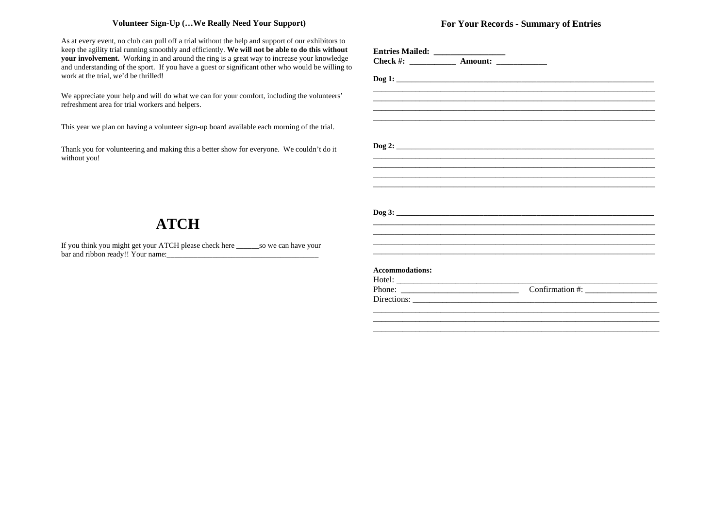#### **Volunteer Sign-Up (…We Really Need Your Support)**

As at every event, no club can pull off a trial without the help and support of our exhibitors to keep the agility trial running smoothly and efficiently. **We will not be able to do this without your involvement.** Working in and around the ring is a great way to increase your knowledge and understanding of the sport. If you have a guest or significant other who would be willing to work at the trial, we'd be thrilled!

We appreciate your help and will do what we can for your comfort, including the volunteers' refreshment area for trial workers and helpers.

This year we plan on having a volunteer sign-up board available each morning of the trial.

Thank you for volunteering and making this a better show for everyone. We couldn't do it without you!

### **For Your Records - Summary of Entries**

| Check #: ______________ Amount: ______________ |                                                                                  |  |
|------------------------------------------------|----------------------------------------------------------------------------------|--|
|                                                |                                                                                  |  |
|                                                |                                                                                  |  |
|                                                |                                                                                  |  |
|                                                |                                                                                  |  |
|                                                |                                                                                  |  |
|                                                |                                                                                  |  |
|                                                |                                                                                  |  |
|                                                |                                                                                  |  |
|                                                |                                                                                  |  |
|                                                |                                                                                  |  |
|                                                |                                                                                  |  |
|                                                |                                                                                  |  |
|                                                |                                                                                  |  |
|                                                |                                                                                  |  |
|                                                |                                                                                  |  |
|                                                |                                                                                  |  |
|                                                |                                                                                  |  |
|                                                | ,我们也不会有什么。""我们的人,我们也不会有什么?""我们的人,我们也不会有什么?""我们的人,我们也不会有什么?""我们的人,我们也不会有什么?""我们的人 |  |
|                                                | ,我们也不会有什么?""我们的人,我们也不会有什么?""我们的人,我们也不会有什么?""我们的人,我们也不会有什么?""我们的人,我们也不会有什么?""我们的人 |  |
| <b>Accommodations:</b>                         |                                                                                  |  |
|                                                |                                                                                  |  |
|                                                |                                                                                  |  |
|                                                |                                                                                  |  |
|                                                |                                                                                  |  |
|                                                |                                                                                  |  |
|                                                |                                                                                  |  |

# **ATCH**

If you think you might get your ATCH please check here \_\_\_\_\_\_so we can have your bar and ribbon ready!! Your name:\_\_\_\_\_\_\_\_\_\_\_\_\_\_\_\_\_\_\_\_\_\_\_\_\_\_\_\_\_\_\_\_\_\_\_\_\_\_\_\_